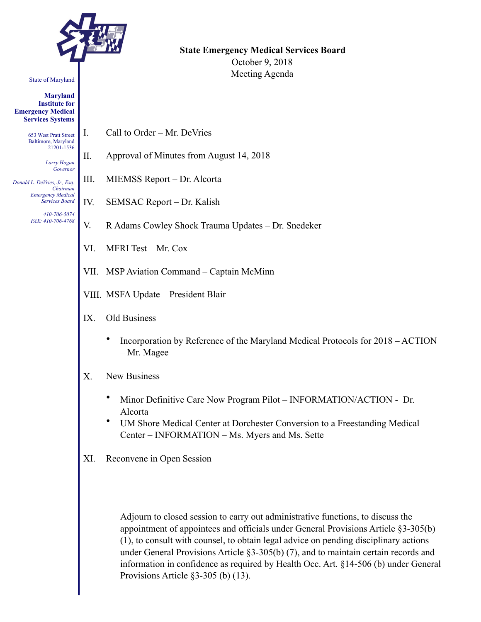

#### State of Maryland

**Maryland Institute for Emergency Medical Services Systems** 

> 653 West Pratt Street Baltimore, Maryland 21201-1536

> > *Larry Hogan Governor*

*Donald L. DeVries, Jr., Esq. Chairman Emergency Medical Services Board* 

> *410-706-5074 FAX: 410-706-4768*

**State Emergency Medical Services Board**  October 9, 2018 Meeting Agenda

- I. Call to Order Mr. DeVries
- II. Approval of Minutes from August 14, 2018
- III. MIEMSS Report Dr. Alcorta
- IV. SEMSAC Report Dr. Kalish
- V. R Adams Cowley Shock Trauma Updates Dr. Snedeker
- VI. MFRI Test Mr. Cox
- VII. MSP Aviation Command Captain McMinn
- VIII. MSFA Update President Blair
- IX. Old Business
	- Incorporation by Reference of the Maryland Medical Protocols for 2018 ACTION – Mr. Magee
- X. New Business
	- Minor Definitive Care Now Program Pilot INFORMATION/ACTION Dr. Alcorta
	- UM Shore Medical Center at Dorchester Conversion to a Freestanding Medical Center – INFORMATION – Ms. Myers and Ms. Sette
- XI. Reconvene in Open Session

Adjourn to closed session to carry out administrative functions, to discuss the appointment of appointees and officials under General Provisions Article §3-305(b) (1), to consult with counsel, to obtain legal advice on pending disciplinary actions under General Provisions Article §3-305(b) (7), and to maintain certain records and information in confidence as required by Health Occ. Art. §14-506 (b) under General Provisions Article §3-305 (b) (13).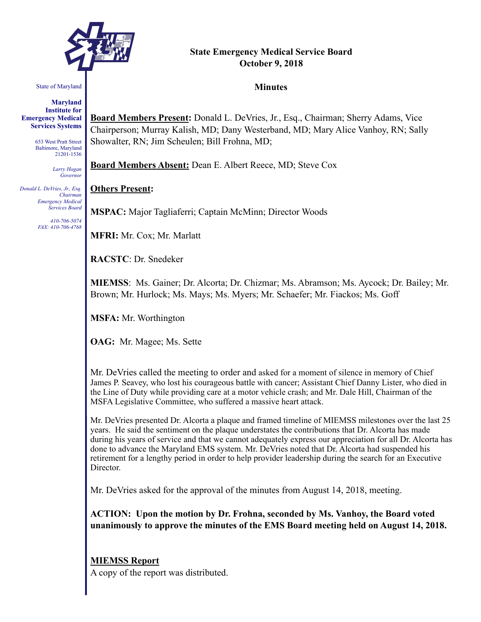

# **State Emergency Medical Service Board October 9, 2018**

#### State of Maryland

**Maryland Institute for Emergency Medical Services Systems** 

> 653 West Pratt Street Baltimore, Maryland 21201-1536

> > *Larry Hogan Governor*

*Donald L. DeVries, Jr., Esq. Chairman Emergency Medical Services Board* 

> *410-706-5074 FAX: 410-706-4768*

**Minutes** 

**Board Members Present:** Donald L. DeVries, Jr., Esq., Chairman; Sherry Adams, Vice Chairperson; Murray Kalish, MD; Dany Westerband, MD; Mary Alice Vanhoy, RN; Sally Showalter, RN; Jim Scheulen; Bill Frohna, MD;

**Board Members Absent:** Dean E. Albert Reece, MD; Steve Cox

#### **Others Present:**

**MSPAC:** Major Tagliaferri; Captain McMinn; Director Woods

**MFRI:** Mr. Cox; Mr. Marlatt

**RACSTC**: Dr. Snedeker

**MIEMSS**: Ms. Gainer; Dr. Alcorta; Dr. Chizmar; Ms. Abramson; Ms. Aycock; Dr. Bailey; Mr. Brown; Mr. Hurlock; Ms. Mays; Ms. Myers; Mr. Schaefer; Mr. Fiackos; Ms. Goff

**MSFA:** Mr. Worthington

**OAG:** Mr. Magee; Ms. Sette

Mr. DeVries called the meeting to order and asked for a moment of silence in memory of Chief James P. Seavey, who lost his courageous battle with cancer; Assistant Chief Danny Lister, who died in the Line of Duty while providing care at a motor vehicle crash; and Mr. Dale Hill, Chairman of the MSFA Legislative Committee, who suffered a massive heart attack.

Mr. DeVries presented Dr. Alcorta a plaque and framed timeline of MIEMSS milestones over the last 25 years. He said the sentiment on the plaque understates the contributions that Dr. Alcorta has made during his years of service and that we cannot adequately express our appreciation for all Dr. Alcorta has done to advance the Maryland EMS system. Mr. DeVries noted that Dr. Alcorta had suspended his retirement for a lengthy period in order to help provider leadership during the search for an Executive Director.

Mr. DeVries asked for the approval of the minutes from August 14, 2018, meeting.

**ACTION: Upon the motion by Dr. Frohna, seconded by Ms. Vanhoy, the Board voted unanimously to approve the minutes of the EMS Board meeting held on August 14, 2018.** 

#### **MIEMSS Report**

A copy of the report was distributed.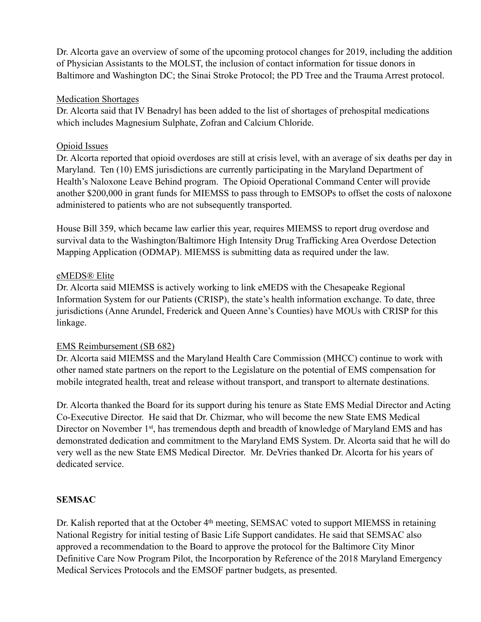Dr. Alcorta gave an overview of some of the upcoming protocol changes for 2019, including the addition of Physician Assistants to the MOLST, the inclusion of contact information for tissue donors in Baltimore and Washington DC; the Sinai Stroke Protocol; the PD Tree and the Trauma Arrest protocol.

### Medication Shortages

Dr. Alcorta said that IV Benadryl has been added to the list of shortages of prehospital medications which includes Magnesium Sulphate, Zofran and Calcium Chloride.

## Opioid Issues

Dr. Alcorta reported that opioid overdoses are still at crisis level, with an average of six deaths per day in Maryland. Ten (10) EMS jurisdictions are currently participating in the Maryland Department of Health's Naloxone Leave Behind program. The Opioid Operational Command Center will provide another \$200,000 in grant funds for MIEMSS to pass through to EMSOPs to offset the costs of naloxone administered to patients who are not subsequently transported.

House Bill 359, which became law earlier this year, requires MIEMSS to report drug overdose and survival data to the Washington/Baltimore High Intensity Drug Trafficking Area Overdose Detection Mapping Application (ODMAP). MIEMSS is submitting data as required under the law.

## eMEDS® Elite

Dr. Alcorta said MIEMSS is actively working to link eMEDS with the Chesapeake Regional Information System for our Patients (CRISP), the state's health information exchange. To date, three jurisdictions (Anne Arundel, Frederick and Queen Anne's Counties) have MOUs with CRISP for this linkage.

### EMS Reimbursement (SB 682)

Dr. Alcorta said MIEMSS and the Maryland Health Care Commission (MHCC) continue to work with other named state partners on the report to the Legislature on the potential of EMS compensation for mobile integrated health, treat and release without transport, and transport to alternate destinations.

Dr. Alcorta thanked the Board for its support during his tenure as State EMS Medial Director and Acting Co-Executive Director. He said that Dr. Chizmar, who will become the new State EMS Medical Director on November 1<sup>st</sup>, has tremendous depth and breadth of knowledge of Maryland EMS and has demonstrated dedication and commitment to the Maryland EMS System. Dr. Alcorta said that he will do very well as the new State EMS Medical Director. Mr. DeVries thanked Dr. Alcorta for his years of dedicated service.

# **SEMSAC**

Dr. Kalish reported that at the October 4<sup>th</sup> meeting, SEMSAC voted to support MIEMSS in retaining National Registry for initial testing of Basic Life Support candidates. He said that SEMSAC also approved a recommendation to the Board to approve the protocol for the Baltimore City Minor Definitive Care Now Program Pilot, the Incorporation by Reference of the 2018 Maryland Emergency Medical Services Protocols and the EMSOF partner budgets, as presented.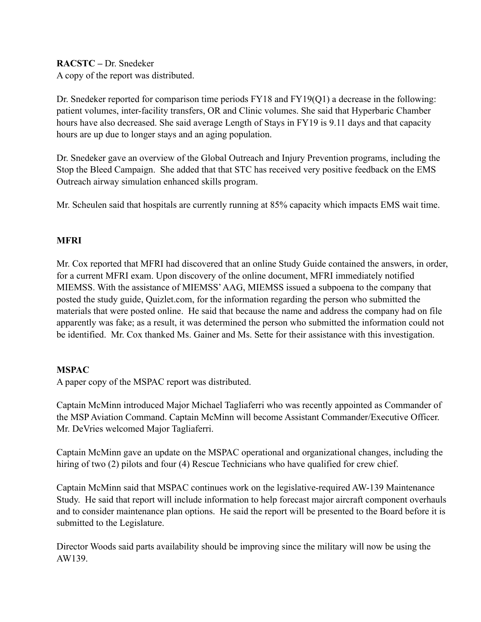**RACSTC –** Dr. Snedeker A copy of the report was distributed.

Dr. Snedeker reported for comparison time periods FY18 and FY19(Q1) a decrease in the following: patient volumes, inter-facility transfers, OR and Clinic volumes. She said that Hyperbaric Chamber hours have also decreased. She said average Length of Stays in FY19 is 9.11 days and that capacity hours are up due to longer stays and an aging population.

Dr. Snedeker gave an overview of the Global Outreach and Injury Prevention programs, including the Stop the Bleed Campaign. She added that that STC has received very positive feedback on the EMS Outreach airway simulation enhanced skills program.

Mr. Scheulen said that hospitals are currently running at 85% capacity which impacts EMS wait time.

# **MFRI**

Mr. Cox reported that MFRI had discovered that an online Study Guide contained the answers, in order, for a current MFRI exam. Upon discovery of the online document, MFRI immediately notified MIEMSS. With the assistance of MIEMSS' AAG, MIEMSS issued a subpoena to the company that posted the study guide, Quizlet.com, for the information regarding the person who submitted the materials that were posted online. He said that because the name and address the company had on file apparently was fake; as a result, it was determined the person who submitted the information could not be identified. Mr. Cox thanked Ms. Gainer and Ms. Sette for their assistance with this investigation.

# **MSPAC**

A paper copy of the MSPAC report was distributed.

Captain McMinn introduced Major Michael Tagliaferri who was recently appointed as Commander of the MSP Aviation Command. Captain McMinn will become Assistant Commander/Executive Officer. Mr. DeVries welcomed Major Tagliaferri.

Captain McMinn gave an update on the MSPAC operational and organizational changes, including the hiring of two (2) pilots and four (4) Rescue Technicians who have qualified for crew chief.

Captain McMinn said that MSPAC continues work on the legislative-required AW-139 Maintenance Study. He said that report will include information to help forecast major aircraft component overhauls and to consider maintenance plan options. He said the report will be presented to the Board before it is submitted to the Legislature.

Director Woods said parts availability should be improving since the military will now be using the AW139.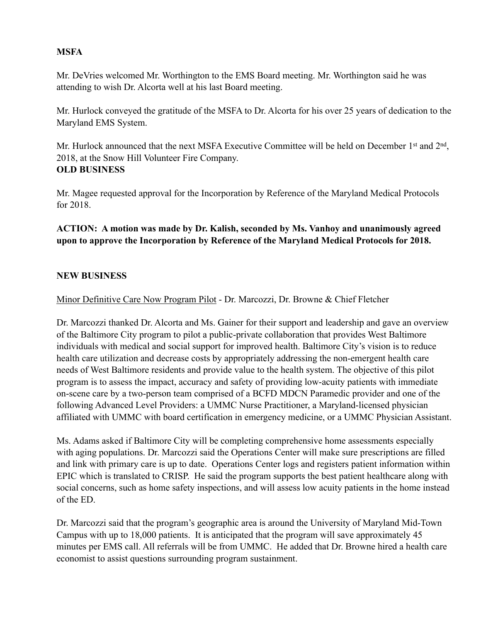## **MSFA**

Mr. DeVries welcomed Mr. Worthington to the EMS Board meeting. Mr. Worthington said he was attending to wish Dr. Alcorta well at his last Board meeting.

Mr. Hurlock conveyed the gratitude of the MSFA to Dr. Alcorta for his over 25 years of dedication to the Maryland EMS System.

Mr. Hurlock announced that the next MSFA Executive Committee will be held on December 1<sup>st</sup> and 2<sup>nd</sup>, 2018, at the Snow Hill Volunteer Fire Company. **OLD BUSINESS** 

Mr. Magee requested approval for the Incorporation by Reference of the Maryland Medical Protocols for 2018.

# **ACTION: A motion was made by Dr. Kalish, seconded by Ms. Vanhoy and unanimously agreed upon to approve the Incorporation by Reference of the Maryland Medical Protocols for 2018.**

### **NEW BUSINESS**

Minor Definitive Care Now Program Pilot - Dr. Marcozzi, Dr. Browne & Chief Fletcher

Dr. Marcozzi thanked Dr. Alcorta and Ms. Gainer for their support and leadership and gave an overview of the Baltimore City program to pilot a public-private collaboration that provides West Baltimore individuals with medical and social support for improved health. Baltimore City's vision is to reduce health care utilization and decrease costs by appropriately addressing the non-emergent health care needs of West Baltimore residents and provide value to the health system. The objective of this pilot program is to assess the impact, accuracy and safety of providing low-acuity patients with immediate on-scene care by a two-person team comprised of a BCFD MDCN Paramedic provider and one of the following Advanced Level Providers: a UMMC Nurse Practitioner, a Maryland-licensed physician affiliated with UMMC with board certification in emergency medicine, or a UMMC Physician Assistant.

Ms. Adams asked if Baltimore City will be completing comprehensive home assessments especially with aging populations. Dr. Marcozzi said the Operations Center will make sure prescriptions are filled and link with primary care is up to date. Operations Center logs and registers patient information within EPIC which is translated to CRISP. He said the program supports the best patient healthcare along with social concerns, such as home safety inspections, and will assess low acuity patients in the home instead of the ED.

Dr. Marcozzi said that the program's geographic area is around the University of Maryland Mid-Town Campus with up to 18,000 patients. It is anticipated that the program will save approximately 45 minutes per EMS call. All referrals will be from UMMC. He added that Dr. Browne hired a health care economist to assist questions surrounding program sustainment.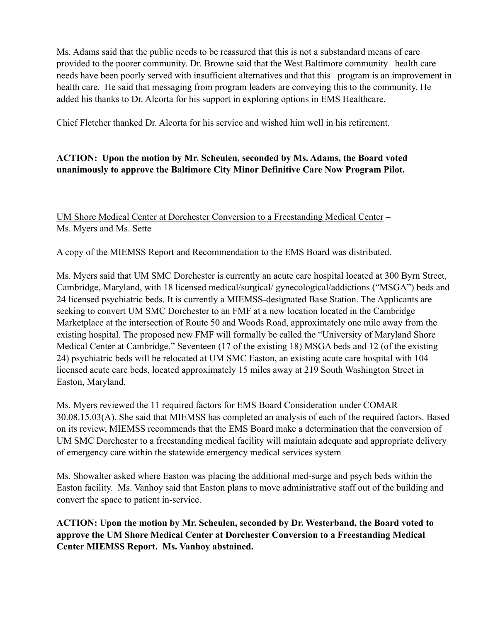Ms. Adams said that the public needs to be reassured that this is not a substandard means of care provided to the poorer community. Dr. Browne said that the West Baltimore community health care needs have been poorly served with insufficient alternatives and that this program is an improvement in health care. He said that messaging from program leaders are conveying this to the community. He added his thanks to Dr. Alcorta for his support in exploring options in EMS Healthcare.

Chief Fletcher thanked Dr. Alcorta for his service and wished him well in his retirement.

# **ACTION: Upon the motion by Mr. Scheulen, seconded by Ms. Adams, the Board voted unanimously to approve the Baltimore City Minor Definitive Care Now Program Pilot.**

UM Shore Medical Center at Dorchester Conversion to a Freestanding Medical Center – Ms. Myers and Ms. Sette

A copy of the MIEMSS Report and Recommendation to the EMS Board was distributed.

Ms. Myers said that UM SMC Dorchester is currently an acute care hospital located at 300 Byrn Street, Cambridge, Maryland, with 18 licensed medical/surgical/ gynecological/addictions ("MSGA") beds and 24 licensed psychiatric beds. It is currently a MIEMSS-designated Base Station. The Applicants are seeking to convert UM SMC Dorchester to an FMF at a new location located in the Cambridge Marketplace at the intersection of Route 50 and Woods Road, approximately one mile away from the existing hospital. The proposed new FMF will formally be called the "University of Maryland Shore Medical Center at Cambridge." Seventeen (17 of the existing 18) MSGA beds and 12 (of the existing 24) psychiatric beds will be relocated at UM SMC Easton, an existing acute care hospital with 104 licensed acute care beds, located approximately 15 miles away at 219 South Washington Street in Easton, Maryland.

Ms. Myers reviewed the 11 required factors for EMS Board Consideration under COMAR 30.08.15.03(A). She said that MIEMSS has completed an analysis of each of the required factors. Based on its review, MIEMSS recommends that the EMS Board make a determination that the conversion of UM SMC Dorchester to a freestanding medical facility will maintain adequate and appropriate delivery of emergency care within the statewide emergency medical services system

Ms. Showalter asked where Easton was placing the additional med-surge and psych beds within the Easton facility. Ms. Vanhoy said that Easton plans to move administrative staff out of the building and convert the space to patient in-service.

**ACTION: Upon the motion by Mr. Scheulen, seconded by Dr. Westerband, the Board voted to approve the UM Shore Medical Center at Dorchester Conversion to a Freestanding Medical Center MIEMSS Report. Ms. Vanhoy abstained.**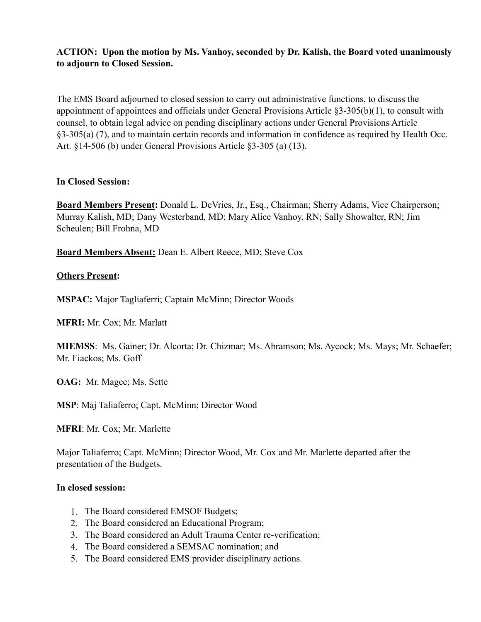# **ACTION: Upon the motion by Ms. Vanhoy, seconded by Dr. Kalish, the Board voted unanimously to adjourn to Closed Session.**

The EMS Board adjourned to closed session to carry out administrative functions, to discuss the appointment of appointees and officials under General Provisions Article §3-305(b)(1), to consult with counsel, to obtain legal advice on pending disciplinary actions under General Provisions Article §3-305(a) (7), and to maintain certain records and information in confidence as required by Health Occ. Art. §14-506 (b) under General Provisions Article §3-305 (a) (13).

### **In Closed Session:**

**Board Members Present:** Donald L. DeVries, Jr., Esq., Chairman; Sherry Adams, Vice Chairperson; Murray Kalish, MD; Dany Westerband, MD; Mary Alice Vanhoy, RN; Sally Showalter, RN; Jim Scheulen; Bill Frohna, MD

**Board Members Absent:** Dean E. Albert Reece, MD; Steve Cox

# **Others Present:**

**MSPAC:** Major Tagliaferri; Captain McMinn; Director Woods

**MFRI:** Mr. Cox; Mr. Marlatt

**MIEMSS**: Ms. Gainer; Dr. Alcorta; Dr. Chizmar; Ms. Abramson; Ms. Aycock; Ms. Mays; Mr. Schaefer; Mr. Fiackos; Ms. Goff

**OAG:** Mr. Magee; Ms. Sette

**MSP**: Maj Taliaferro; Capt. McMinn; Director Wood

**MFRI**: Mr. Cox; Mr. Marlette

Major Taliaferro; Capt. McMinn; Director Wood, Mr. Cox and Mr. Marlette departed after the presentation of the Budgets.

### **In closed session:**

- 1. The Board considered EMSOF Budgets;
- 2. The Board considered an Educational Program;
- 3. The Board considered an Adult Trauma Center re-verification;
- 4. The Board considered a SEMSAC nomination; and
- 5. The Board considered EMS provider disciplinary actions.